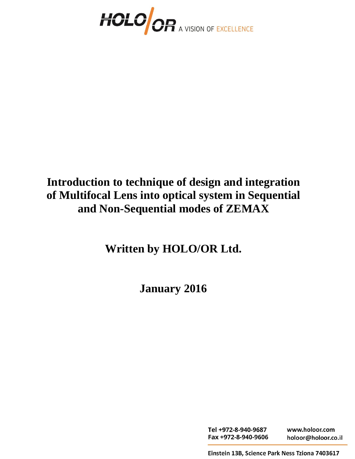

# **Introduction to technique of design and integration of Multifocal Lens into optical system in Sequential and Non-Sequential modes of ZEMAX**

**Written by HOLO/OR Ltd.**

**January 2016**

Tel +972-8-940-9687 www.holoor.com Fax +972-8-940-9606 holoor@holoor.co.il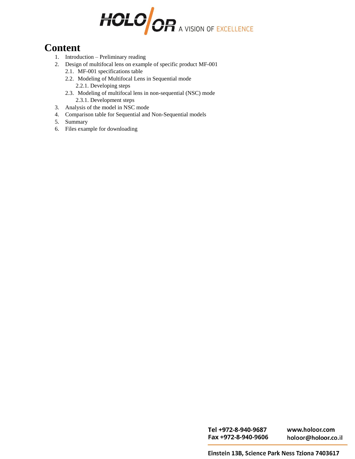

### **Content**

- 1. Introduction Preliminary reading
- 2. Design of multifocal lens on example of specific product MF-001
	- 2.1. MF-001 specifications table
	- 2.2. Modeling of Multifocal Lens in Sequential mode 2.2.1. Developing steps
	- 2.3. Modeling of multifocal lens in non-sequential (NSC) mode 2.3.1. Development steps
- 3. Analysis of the model in NSC mode
- 4. Comparison table for Sequential and Non-Sequential models
- 5. Summary
- 6. Files example for downloading

Tel +972-8-940-9687 Fax +972-8-940-9606

www.holoor.com holoor@holoor.co.il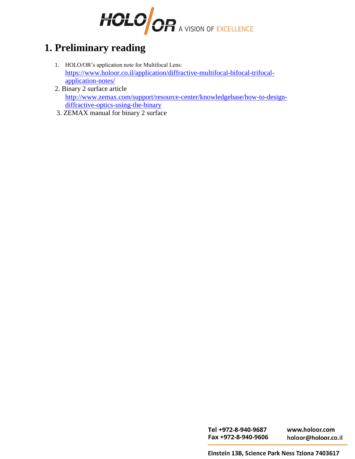

## **1. Preliminary reading**

- 1. HOLO/OR's application note for Multifocal Lens: [https://www.holoor.co.il/application/diffractive-multifocal-bifocal-trifocal](https://www.holoor.co.il/application/diffractive-multifocal-bifocal-trifocal-application-notes/)[application-notes/](https://www.holoor.co.il/application/diffractive-multifocal-bifocal-trifocal-application-notes/)
- 2. Binary 2 surface article [http://www.zemax.com/support/resource-center/knowledgebase/how-to-design](http://www.zemax.com/support/resource-center/knowledgebase/how-to-design-diffractive-optics-using-the-binary)[diffractive-optics-using-the-binary](http://www.zemax.com/support/resource-center/knowledgebase/how-to-design-diffractive-optics-using-the-binary)
- 3. ZEMAX manual for binary 2 surface

Tel +972-8-940-9687 Fax +972-8-940-9606

www.holoor.com holoor@holoor.co.il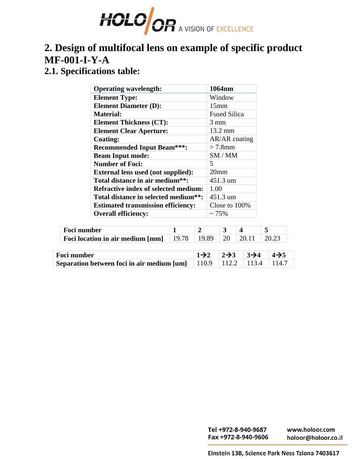

# **2. Design of multifocal lens on example of specific product MF-001-I-Y-A**

### **2.1. Specifications table:**

| <b>Operating wavelength:</b>                      | 1064nm              |
|---------------------------------------------------|---------------------|
| <b>Element Type:</b>                              | Window              |
| <b>Element Diameter (D):</b>                      | 15mm                |
| <b>Material:</b>                                  | <b>Fused Silica</b> |
| <b>Element Thickness (CT):</b>                    | 3 mm                |
| <b>Element Clear Aperture:</b>                    | $13.2 \text{ mm}$   |
| <b>Coating:</b>                                   | AR/AR coating       |
| <b>Recommended Input Beam***:</b>                 | $> 7.8$ mm          |
| <b>Beam Input mode:</b>                           | SM/MM               |
| <b>Number of Foci:</b>                            | 5                   |
| <b>External lens used (not supplied):</b>         | 20 <sub>mm</sub>    |
| Total distance in air medium**:                   | 451.3 um            |
| <b>Refractive index of selected medium:</b>       | 1.00                |
| Total distance in selected medium <sup>**</sup> : | 451.3 um            |
| <b>Estimated transmission efficiency:</b>         | Close to 100%       |
| <b>Overall efficiency:</b>                        | $\sim$ 75%          |

| Foci number                      |       |       |       |        |  |
|----------------------------------|-------|-------|-------|--------|--|
| Foci location in air medium [mm] | 19.78 | 19.89 | $+20$ | -20.11 |  |

| <b>Foci number</b>                                                                | $\vert 1\rightarrow 2$ $\vert 2\rightarrow 3$ $\vert 3\rightarrow 4$ $\vert 4\rightarrow 5$ |  |
|-----------------------------------------------------------------------------------|---------------------------------------------------------------------------------------------|--|
| <b>Separation between foci in air medium [um]</b>   110.9   112.2   113.4   114.7 |                                                                                             |  |

Tel +972-8-940-9687 www.holoor.com Fax +972-8-940-9606 holoor@holoor.co.il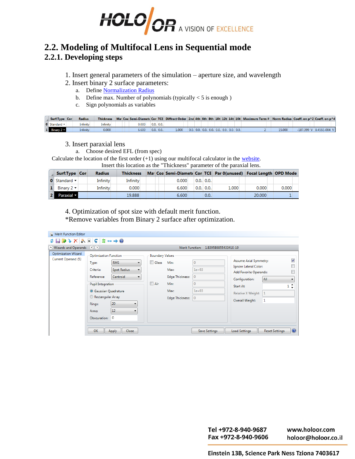

### **2.2. Modeling of Multifocal Lens in Sequential mode 2.2.1. Developing steps**

- 1. Insert general parameters of the simulation aperture size, and wavelength
- 2. Insert binary 2 surface parameters:
	- a. Define [Normalization Radius](https://my.zemax.com/en-US/Knowledge-Base/kb-article/?ka=KA-01549)
	- b. Define max. Number of polynomials (typically  $<$  5 is enough )
	- c. Sign polynomials as variables

| Surf:Type Con                | <b>Radius</b>   |          |  |       |                 |       |  |  |  |  | Thickness Mai Coa Semi-Diamet: Cor TCE Diffract Order 2nd 4th 6th 8th 10ti 12ti 14ti 16ti Maximum Term # Norm Radius Coeff. on p^2 Coeff. on p^4 |       |                         |
|------------------------------|-----------------|----------|--|-------|-----------------|-------|--|--|--|--|--------------------------------------------------------------------------------------------------------------------------------------------------|-------|-------------------------|
| $\bullet$ Standard $\bullet$ | <b>Infinity</b> | infinity |  | 0.000 | 0.0.000         |       |  |  |  |  |                                                                                                                                                  |       |                         |
| $1$ Binary 2 $\sim$          | Infinity        | 0.000    |  | 6.600 | $0.0$ , $0.0$ . | 1.000 |  |  |  |  |                                                                                                                                                  | 5.000 | -187.399 V 8.456E-004 V |

3. Insert paraxial lens

a. Choose desired EFL (from spec)

Calculate the location of the first order  $(+1)$  using our multifocal calculator in the [website.](https://www.holoor.co.il/optical-calculator/)

Insert this location as the "Thickness" parameter of the paraxial lens.

| Surf:Type Con                  | <b>Radius</b> | <b>Thickness</b> |  |       |                 | Mai Coa Semi-Diamet« Cor TCE Par 0(unused) Focal Length OPD Mode |        |       |
|--------------------------------|---------------|------------------|--|-------|-----------------|------------------------------------------------------------------|--------|-------|
| <b>0</b> Standard $\mathbf{v}$ | Infinity      | Infinity         |  | 0.000 | $0.0$ . $0.0$ . |                                                                  |        |       |
| Binary $2 \times$              | Infinity      | 0.000            |  | 6.600 | 0.0.000         | 1.000                                                            | 0.000  | 0.000 |
| Paraxial v                     |               | 19.888           |  | 6.600 | 0.0.            |                                                                  | 20,000 |       |

4. Optimization of spot size with default merit function.

\*Remove variables from Binary 2 surface after optimization.

| Merit Function Editor                             |                                                                                                                                                                                    |                                                                        |                                               |                                                                           |                                                                                        |                                                                                                                                                   |                       |                |
|---------------------------------------------------|------------------------------------------------------------------------------------------------------------------------------------------------------------------------------------|------------------------------------------------------------------------|-----------------------------------------------|---------------------------------------------------------------------------|----------------------------------------------------------------------------------------|---------------------------------------------------------------------------------------------------------------------------------------------------|-----------------------|----------------|
| <b>☆日のナメショ ↓  ‡ …→◎</b>                           |                                                                                                                                                                                    |                                                                        |                                               |                                                                           |                                                                                        |                                                                                                                                                   |                       |                |
| Nizards and Operands                              | $\left( \left\langle \cdot \right\rangle \left( \cdot \right) \right)$                                                                                                             |                                                                        |                                               | Merit Function:                                                           | 1.83958685543341E-10                                                                   |                                                                                                                                                   |                       |                |
| <b>Optimization Wizard</b><br>Current Operand (5) | <b>Optimization Function</b><br>Type:<br>Criteria:<br>Reference:<br><b>Pupil Integration</b><br><b>Gaussian Quadrature</b><br>Rectangular Array<br>Rings:<br>Arms:<br>Obscuration: | <b>RMS</b><br>Spot Radius<br>Centroid<br>۰.<br>20<br>12<br>$\mathbf 0$ | <b>Boundary Values</b><br>Glass<br>$\Box$ Air | Min:<br>Max:<br><b>Edge Thickness:</b><br>Min:<br>Max:<br>Edge Thickness: | $\mathbf{0}$<br>$1e + 03$<br>$\mathbf{0}$<br>$\mathbf{0}$<br>$1e + 03$<br>$\mathbf{0}$ | Assume Axial Symmetry:<br>Ignore Lateral Color:<br>Add Favorite Operands:<br>Configuration:<br>Start At:<br>Relative X Weight:<br>Overall Weight: | All<br>1              | ⊽              |
|                                                   | OK                                                                                                                                                                                 | <b>Close</b><br>Apply                                                  |                                               |                                                                           | <b>Save Settings</b>                                                                   | <b>Load Settings</b>                                                                                                                              | <b>Reset Settings</b> | $\circledcirc$ |

Tel +972-8-940-9687 www.holoor.com Fax +972-8-940-9606 holoor@holoor.co.il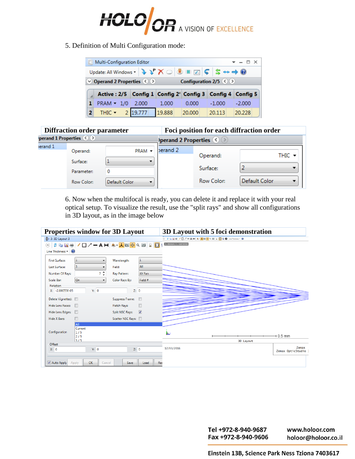

#### 5. Definition of Multi Configuration mode:

|                                     | Multi-Configuration Editor<br>$\mathbf{v}$ = $\Box$ X                                                                                                       |  |       |  |       |                                                            |          |  |          |  |  |  |
|-------------------------------------|-------------------------------------------------------------------------------------------------------------------------------------------------------------|--|-------|--|-------|------------------------------------------------------------|----------|--|----------|--|--|--|
|                                     | Update: All Windows $\cdot$ $\rightarrow$ $\cdot$ $\times$ $\infty$ $\circ$ 10 $\cdot$ 10 $\cdot$ $\circ$ $\cdot$ $\cdot$ $\rightarrow$ $\bullet$ $\bullet$ |  |       |  |       |                                                            |          |  |          |  |  |  |
| Configuration 2/5 $\langle \rangle$ |                                                                                                                                                             |  |       |  |       |                                                            |          |  |          |  |  |  |
|                                     |                                                                                                                                                             |  |       |  |       |                                                            |          |  |          |  |  |  |
|                                     |                                                                                                                                                             |  |       |  |       | Active : 2/5 Config 1 Config 2' Config 3 Config 4 Config 5 |          |  |          |  |  |  |
|                                     | $PRAM - 1/0$                                                                                                                                                |  | 2.000 |  | 1.000 | 0.000                                                      | $-1.000$ |  | $-2.000$ |  |  |  |

|                      | <b>Diffraction order parameter</b>    |                    | Foci position for each diffraction order |            |               |  |  |  |
|----------------------|---------------------------------------|--------------------|------------------------------------------|------------|---------------|--|--|--|
|                      | perand 1 Properties $\langle \rangle$ |                    | perand 2 Properties (<)                  |            |               |  |  |  |
| $\epsilon$ erand $1$ | Operand:                              | $PRAM \rightarrow$ | berand 2                                 |            |               |  |  |  |
|                      | Surface:                              |                    |                                          | Operand:   | THIC $\sim$   |  |  |  |
|                      | Parameter:                            |                    |                                          | Surface:   |               |  |  |  |
|                      | Row Color:                            | Default Color      |                                          | Row Color: | Default Color |  |  |  |

6. Now when the multifocal is ready, you can delete it and replace it with your real optical setup. To visualize the result, use the "split rays" and show all configurations in 3D layout, as in the image below

| <b>Properties window for 3D Layout</b>                              |                                                    | 3D Layout with 5 foci demonstration                 |
|---------------------------------------------------------------------|----------------------------------------------------|-----------------------------------------------------|
| 3: 3D Layout 3                                                      |                                                    | ◎ 2 G 国最ノロノーA H A · 人国参 Q 図 2 B G Une Thickness · ● |
| $\Omega$                                                            |                                                    | $Z = 89.616241, Y = -0.067315519$                   |
| Line Thickness<br>$\circled{2}$                                     |                                                    |                                                     |
| $\overline{1}$<br><b>First Surface:</b><br>$\overline{\phantom{a}}$ | $\mathbf{1}$<br>Wavelength:                        |                                                     |
| 3<br>Last Surface:                                                  | All<br>Field:                                      |                                                     |
| 7 ≎<br>Number Of Rays:                                              | XY Fan<br>Ray Pattern:                             |                                                     |
| On<br>Scale Bar:<br>$\blacktriangledown$                            | Field #<br>Color Rays By:                          |                                                     |
| <b>Rotation</b>                                                     |                                                    |                                                     |
| Y: 0<br>X: -2.89055E-05                                             | Z: 0                                               |                                                     |
| Delete Vignetted:                                                   | $\Box$<br>Suppress Frame:                          |                                                     |
| <b>Hide Lens Faces:</b><br>$\Box$                                   | $\Box$<br>Fletch Rays:                             |                                                     |
| Hide Lens Edges:<br>$\Box$                                          | $\overline{\mathcal{L}}$<br><b>Split NSC Rays:</b> |                                                     |
| □<br><b>Hide X Bars:</b>                                            | Scatter NSC Rays:                                  |                                                     |
| <b>AII</b>                                                          |                                                    |                                                     |
| Current<br>Configuration<br>1/5                                     |                                                    |                                                     |
| 2/5                                                                 |                                                    | $+0.5$ mm                                           |
| 375<br>Offset                                                       |                                                    | 3D Layout                                           |
| Y: 0<br>X: 0                                                        | Z: 0                                               | Zemax<br>17/03/2016<br>Zemax OpticStudio :          |
| Auto Apply<br>OK<br>Apply<br>Cancel                                 | Save<br>Load                                       | Res                                                 |

Tel +972-8-940-9687 www.holoor.com Fax +972-8-940-9606 holoor@holoor.co.il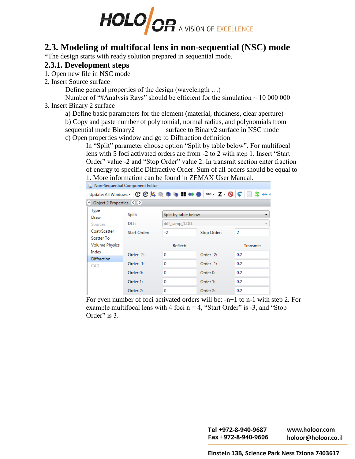

### **2.3. Modeling of multifocal lens in non-sequential (NSC) mode**

\*The design starts with ready solution prepared in sequential mode.

#### **2.3.1. Development steps**

1. Open new file in NSC mode

2. Insert Source surface

Define general properties of the design (wavelength …)

Number of "#Analysis Rays" should be efficient for the simulation  $\sim 10000000$ 3. Insert Binary 2 surface

a) Define basic parameters for the element (material, thickness, clear aperture)

b) Copy and paste number of polynomial, normal radius, and polynomials from sequential mode Binary2 surface to Binary2 surface in NSC mode

c) Open properties window and go to Diffraction definition

In "Split" parameter choose option "Split by table below". For multifocal lens with 5 foci activated orders are from -2 to 2 with step 1. Insert "Start Order" value -2 and "Stop Order" value 2. In transmit section enter fraction of energy to specific Diffractive Order. Sum of all orders should be equal to 1. More information can be found in ZEMAX User Manual.

| Non-Sequential Component Editor |                                                                                           |                      |             |                |  |  |  |  |  |  |  |
|---------------------------------|-------------------------------------------------------------------------------------------|----------------------|-------------|----------------|--|--|--|--|--|--|--|
|                                 | Update: All Windows v C C K Q A Q D G H O O C K O C A D G H O O C X O C B C O C H S +++ + |                      |             |                |  |  |  |  |  |  |  |
| Object 2 Properties (8)         |                                                                                           |                      |             |                |  |  |  |  |  |  |  |
| Type<br>Draw                    | Split:                                                                                    | Split by table below |             | ▼              |  |  |  |  |  |  |  |
| Sources                         | DLL:                                                                                      | diff_samp_1.DLL      |             |                |  |  |  |  |  |  |  |
| Coat/Scatter                    | <b>Start Order:</b>                                                                       | $-2$                 | Stop Order: | $\overline{2}$ |  |  |  |  |  |  |  |
| Scatter To                      |                                                                                           |                      |             |                |  |  |  |  |  |  |  |
| <b>Volume Physics</b>           |                                                                                           | Reflect:             |             | Transmit:      |  |  |  |  |  |  |  |
| Index                           | Order -2:                                                                                 | $\Omega$             | Order -2:   | 0.2            |  |  |  |  |  |  |  |
| <b>Diffraction</b>              |                                                                                           |                      |             |                |  |  |  |  |  |  |  |
| CAD                             | Order -1:                                                                                 | $\mathbf{0}$         | Order -1:   | 0.2            |  |  |  |  |  |  |  |
|                                 | Order 0:                                                                                  | $\Omega$             | Order 0:    | 0.2            |  |  |  |  |  |  |  |
|                                 | Order 1:                                                                                  | 0                    | Order 1:    | 0.2            |  |  |  |  |  |  |  |
|                                 | Order 2:                                                                                  | 0                    | Order 2:    | 0.2            |  |  |  |  |  |  |  |

For even number of foci activated orders will be: -n+1 to n-1 with step 2. For example multifocal lens with 4 foci  $n = 4$ , "Start Order" is -3, and "Stop Order" is 3.

> Tel +972-8-940-9687 www.holoor.com Fax +972-8-940-9606 holoor@holoor.co.il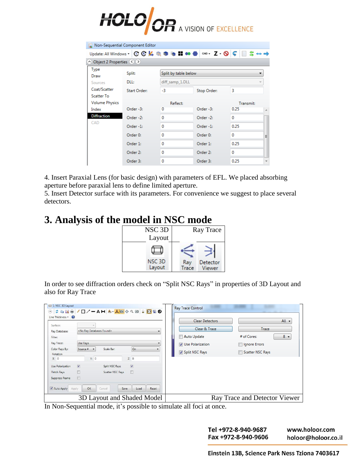

| Non-Sequential Component Editor   |                                                                                                                                                                                                                                                                                                       |                      |             |           |    |  |  |  |  |  |
|-----------------------------------|-------------------------------------------------------------------------------------------------------------------------------------------------------------------------------------------------------------------------------------------------------------------------------------------------------|----------------------|-------------|-----------|----|--|--|--|--|--|
|                                   | Update: All Windows $\cdot$   $\mathbb{C}$ $\mathbb{C}$ $\mathbb{K}$ $\mathbb{Q}$ $\mathbb{C}$ $\mathbb{R}$ $\mathbb{C}$ $\mathbb{C}$ $\mathbb{H}$ $\bullet\bullet$ $\mathbb{C}$ $\circ$ $\circ$ $\mathbb{Z}$ $\cdot$ $\mathbb{Q}$ $\mathbb{C}$ $\mathbb{E}$ $\mathbb{S}$ $\ast\bullet$ $\Rightarrow$ |                      |             |           |    |  |  |  |  |  |
| △ Object 2 Properties (◇ ◇        |                                                                                                                                                                                                                                                                                                       |                      |             |           |    |  |  |  |  |  |
| Type<br>Draw                      | Split:                                                                                                                                                                                                                                                                                                | Split by table below |             |           |    |  |  |  |  |  |
| Sources                           | DLL:                                                                                                                                                                                                                                                                                                  | diff samp 1.DLL      |             |           |    |  |  |  |  |  |
| Coat/Scatter<br><b>Scatter To</b> | <b>Start Order:</b>                                                                                                                                                                                                                                                                                   | -3                   | Stop Order: | 3         |    |  |  |  |  |  |
| <b>Volume Physics</b>             |                                                                                                                                                                                                                                                                                                       | Reflect:             |             | Transmit: |    |  |  |  |  |  |
| Index                             | Order -3:                                                                                                                                                                                                                                                                                             | 0                    | Order -3:   | 0.25      | ×. |  |  |  |  |  |
| <b>Diffraction</b>                | Order -2:                                                                                                                                                                                                                                                                                             | $\Omega$             | Order -2:   | $\Omega$  |    |  |  |  |  |  |
| CAD                               | Order -1:                                                                                                                                                                                                                                                                                             | $\Omega$             | Order -1:   | 0.25      |    |  |  |  |  |  |
|                                   | Order 0:                                                                                                                                                                                                                                                                                              | $\Omega$             | Order 0:    | $\Omega$  | Ξ  |  |  |  |  |  |
|                                   | Order 1:                                                                                                                                                                                                                                                                                              | 0                    | Order 1:    | 0.25      |    |  |  |  |  |  |
|                                   | Order 2:                                                                                                                                                                                                                                                                                              | $\Omega$             | Order 2:    | 0         |    |  |  |  |  |  |
|                                   | Order 3:                                                                                                                                                                                                                                                                                              | 0                    | Order 3:    | 0.25      |    |  |  |  |  |  |

4. Insert Paraxial Lens (for basic design) with parameters of EFL. We placed absorbing aperture before paraxial lens to define limited aperture.

5. Insert Detector surface with its parameters. For convenience we suggest to place several detectors.

### **3. Analysis of the model in NSC mode**



In order to see diffraction orders check on "Split NSC Rays" in properties of 3D Layout and also for Ray Trace

| 1: NSC 3D Layout<br>$\odot$<br>Line Thickness • 2<br>Surface:<br>Ray Database:<br>Filter:<br>Ray Trace:<br>Color Rays By:<br>Rotation<br>X: 0<br>Use Polarization<br>Fletch Rays<br>Suppress Frame<br>Auto Apply<br>Apply | 2 D B B / □ / 一 A H A · 人 @ ◆ Q © 2 B 6<br><no databases="" found="" ray=""><br/>Use Rays<br/>Source # -<br/>Scale Bar:<br/>Y: 0<br/><math>\overline{v}</math><br/>Split NSC Rays<br/>旧<br/>Scatter NSC Rays<br/><math>\Box</math><br/>OK<br/>Cancel</no> | On<br>۰<br>Z: 0<br>$\overline{v}$<br>$\Box$<br>Load<br>Reset<br>Save | <b>Ray Trace Control</b><br><b>Clear Detectors</b><br>Clear & Trace<br>Auto Update<br><b>V</b> Use Polarization<br>Split NSC Rays | All $\blacktriangledown$<br>Trace<br>$8 -$<br># of Cores:<br>Ignore Errors<br>Scatter NSC Rays |
|---------------------------------------------------------------------------------------------------------------------------------------------------------------------------------------------------------------------------|-----------------------------------------------------------------------------------------------------------------------------------------------------------------------------------------------------------------------------------------------------------|----------------------------------------------------------------------|-----------------------------------------------------------------------------------------------------------------------------------|------------------------------------------------------------------------------------------------|
|                                                                                                                                                                                                                           | 3D Layout and Shaded Model                                                                                                                                                                                                                                |                                                                      |                                                                                                                                   | Ray Trace and Detector Viewer                                                                  |

In Non-Sequential mode, it's possible to simulate all foci at once.